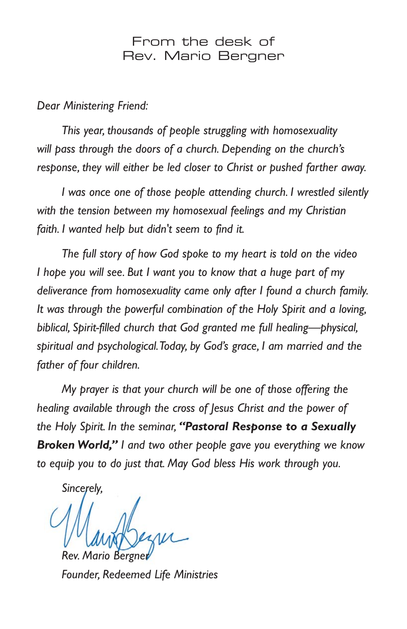## From the desk of Rev. Mario Bergner

*Dear Ministering Friend:*

*This year, thousands of people struggling with homosexuality will pass through the doors of a church. Depending on the church's response, they will either be led closer to Christ or pushed farther away.*

*I was once one of those people attending church. I wrestled silently with the tension between my homosexual feelings and my Christian faith. I wanted help but didn't seem to find it.*

*The full story of how God spoke to my heart is told on the video I hope you will see. But I want you to know that a huge part of my deliverance from homosexuality came only after I found a church family. It was through the powerful combination of the Holy Spirit and a loving, biblical, Spirit-filled church that God granted me full healing—physical, spiritual and psychological.Today, by God's grace, I am married and the father of four children.*

*My prayer is that your church will be one of those offering the healing available through the cross of Jesus Christ and the power of the Holy Spirit. In the seminar, "Pastoral Response to a Sexually Broken World," I and two other people gave you everything we know to equip you to do just that. May God bless His work through you.*

*Sincerely,*

*Rev. Mario Bergner*

*Founder, Redeemed Life Ministries*